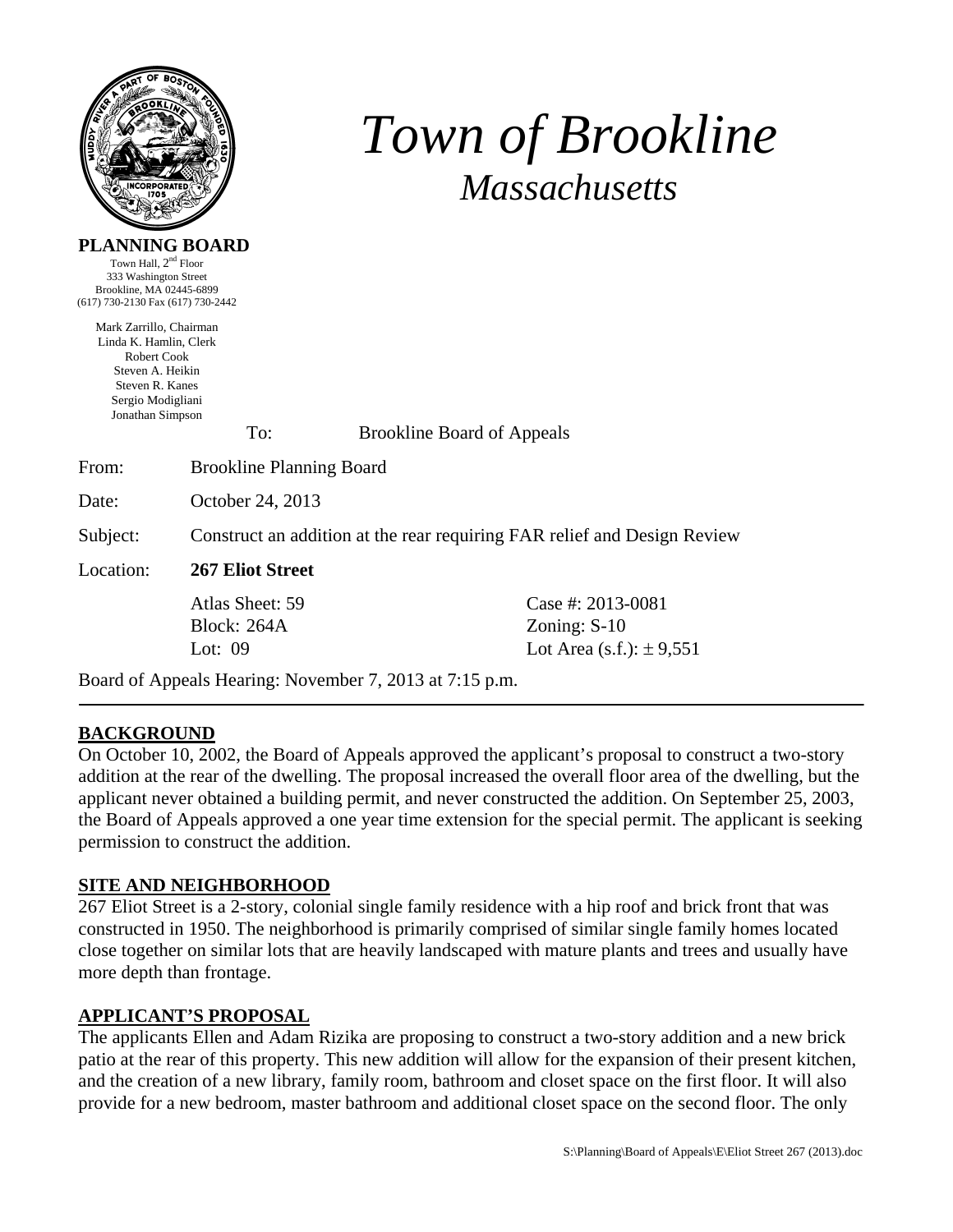

# *Town of Brookline Massachusetts*

#### **PLANNING BOARD**

Town Hall,  $2<sup>nd</sup>$  Floor 333 Washington Street Brookline, MA 02445-6899 (617) 730-2130 Fax (617) 730-2442

> Mark Zarrillo, Chairman Linda K. Hamlin, Clerk Robert Cook Steven A. Heikin Steven R. Kanes Sergio Modigliani Jonathan Simpson

To: Brookline Board of Appeals

| From: | <b>Brookline Planning Board</b> |
|-------|---------------------------------|
|-------|---------------------------------|

Date: October 24, 2013

Subject: Construct an addition at the rear requiring FAR relief and Design Review

# Location: **267 Eliot Street**

Block: 264A Zoning: S-10

 Atlas Sheet: 59 Case #: 2013-0081 Lot: 09  $\qquad \qquad$  Lot Area (s.f.):  $\pm 9.551$ 

Board of Appeals Hearing: November 7, 2013 at 7:15 p.m.

## **BACKGROUND**

On October 10, 2002, the Board of Appeals approved the applicant's proposal to construct a two-story addition at the rear of the dwelling. The proposal increased the overall floor area of the dwelling, but the applicant never obtained a building permit, and never constructed the addition. On September 25, 2003, the Board of Appeals approved a one year time extension for the special permit. The applicant is seeking permission to construct the addition.

# **SITE AND NEIGHBORHOOD**

267 Eliot Street is a 2-story, colonial single family residence with a hip roof and brick front that was constructed in 1950. The neighborhood is primarily comprised of similar single family homes located close together on similar lots that are heavily landscaped with mature plants and trees and usually have more depth than frontage.

## **APPLICANT'S PROPOSAL**

The applicants Ellen and Adam Rizika are proposing to construct a two-story addition and a new brick patio at the rear of this property. This new addition will allow for the expansion of their present kitchen, and the creation of a new library, family room, bathroom and closet space on the first floor. It will also provide for a new bedroom, master bathroom and additional closet space on the second floor. The only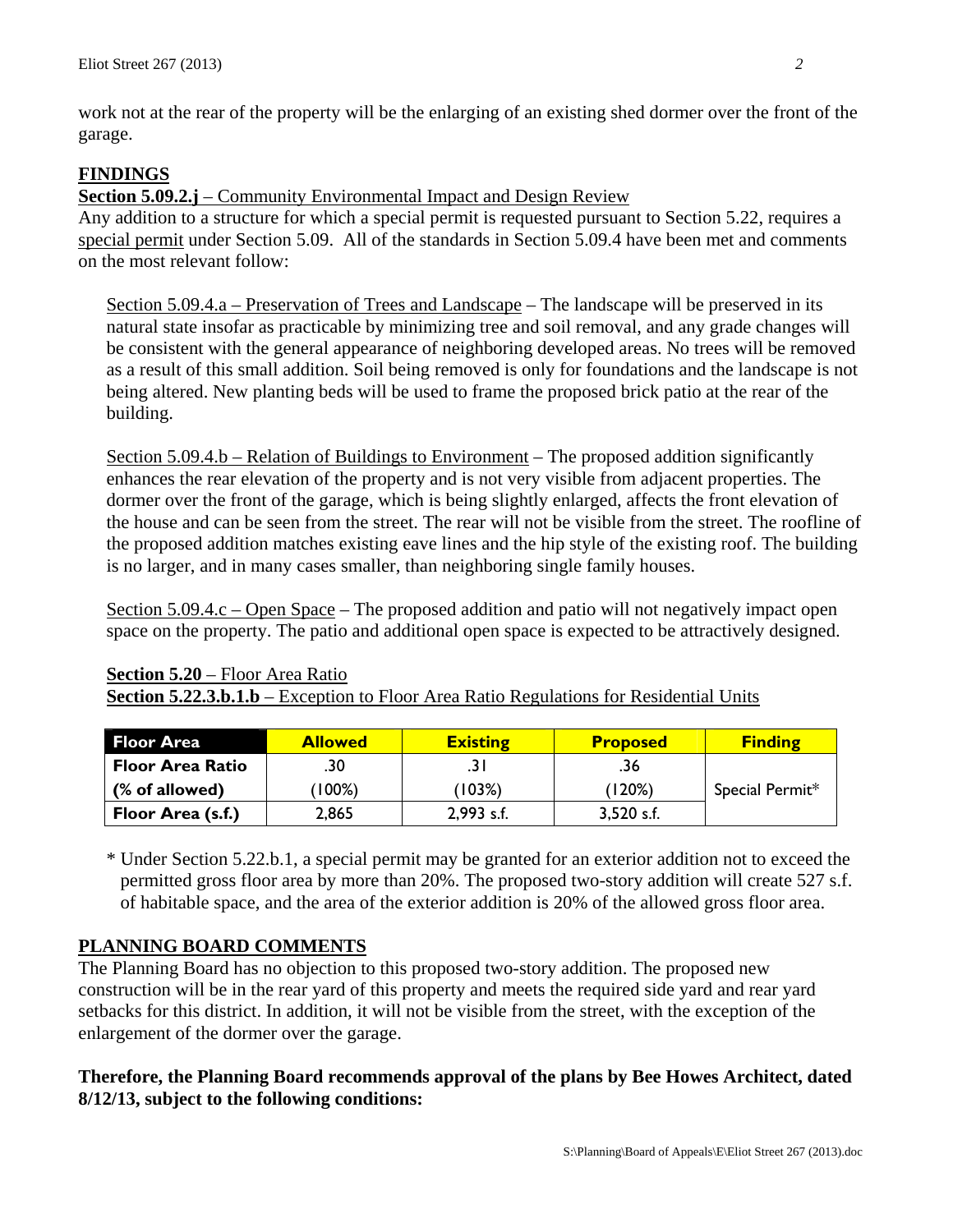work not at the rear of the property will be the enlarging of an existing shed dormer over the front of the garage.

# **FINDINGS**

**Section 5.09.2.j** – Community Environmental Impact and Design Review

Any addition to a structure for which a special permit is requested pursuant to Section 5.22, requires a special permit under Section 5.09. All of the standards in Section 5.09.4 have been met and comments on the most relevant follow:

Section 5.09.4.a – Preservation of Trees and Landscape – The landscape will be preserved in its natural state insofar as practicable by minimizing tree and soil removal, and any grade changes will be consistent with the general appearance of neighboring developed areas. No trees will be removed as a result of this small addition. Soil being removed is only for foundations and the landscape is not being altered. New planting beds will be used to frame the proposed brick patio at the rear of the building.

Section 5.09.4.b – Relation of Buildings to Environment – The proposed addition significantly enhances the rear elevation of the property and is not very visible from adjacent properties. The dormer over the front of the garage, which is being slightly enlarged, affects the front elevation of the house and can be seen from the street. The rear will not be visible from the street. The roofline of the proposed addition matches existing eave lines and the hip style of the existing roof. The building is no larger, and in many cases smaller, than neighboring single family houses.

Section 5.09.4.c – Open Space – The proposed addition and patio will not negatively impact open space on the property. The patio and additional open space is expected to be attractively designed.

| <b>Floor Area</b>       | <b>Allowed</b> | <b>Existing</b> | <b>Proposed</b> | <b>Finding</b>  |
|-------------------------|----------------|-----------------|-----------------|-----------------|
| <b>Floor Area Ratio</b> | .30            |                 | .36             |                 |
| (% of allowed)          | $100\%)$       | (103%)          | (120%)          | Special Permit* |
| Floor Area (s.f.)       | 2,865          | 2,993 s.f.      | $3,520$ s.f.    |                 |

#### **Section 5.20** – Floor Area Ratio **Section 5.22.3.b.1.b** – Exception to Floor Area Ratio Regulations for Residential Units

\* Under Section 5.22.b.1, a special permit may be granted for an exterior addition not to exceed the permitted gross floor area by more than 20%. The proposed two-story addition will create 527 s.f. of habitable space, and the area of the exterior addition is 20% of the allowed gross floor area.

## **PLANNING BOARD COMMENTS**

The Planning Board has no objection to this proposed two-story addition. The proposed new construction will be in the rear yard of this property and meets the required side yard and rear yard setbacks for this district. In addition, it will not be visible from the street, with the exception of the enlargement of the dormer over the garage.

## **Therefore, the Planning Board recommends approval of the plans by Bee Howes Architect, dated 8/12/13, subject to the following conditions:**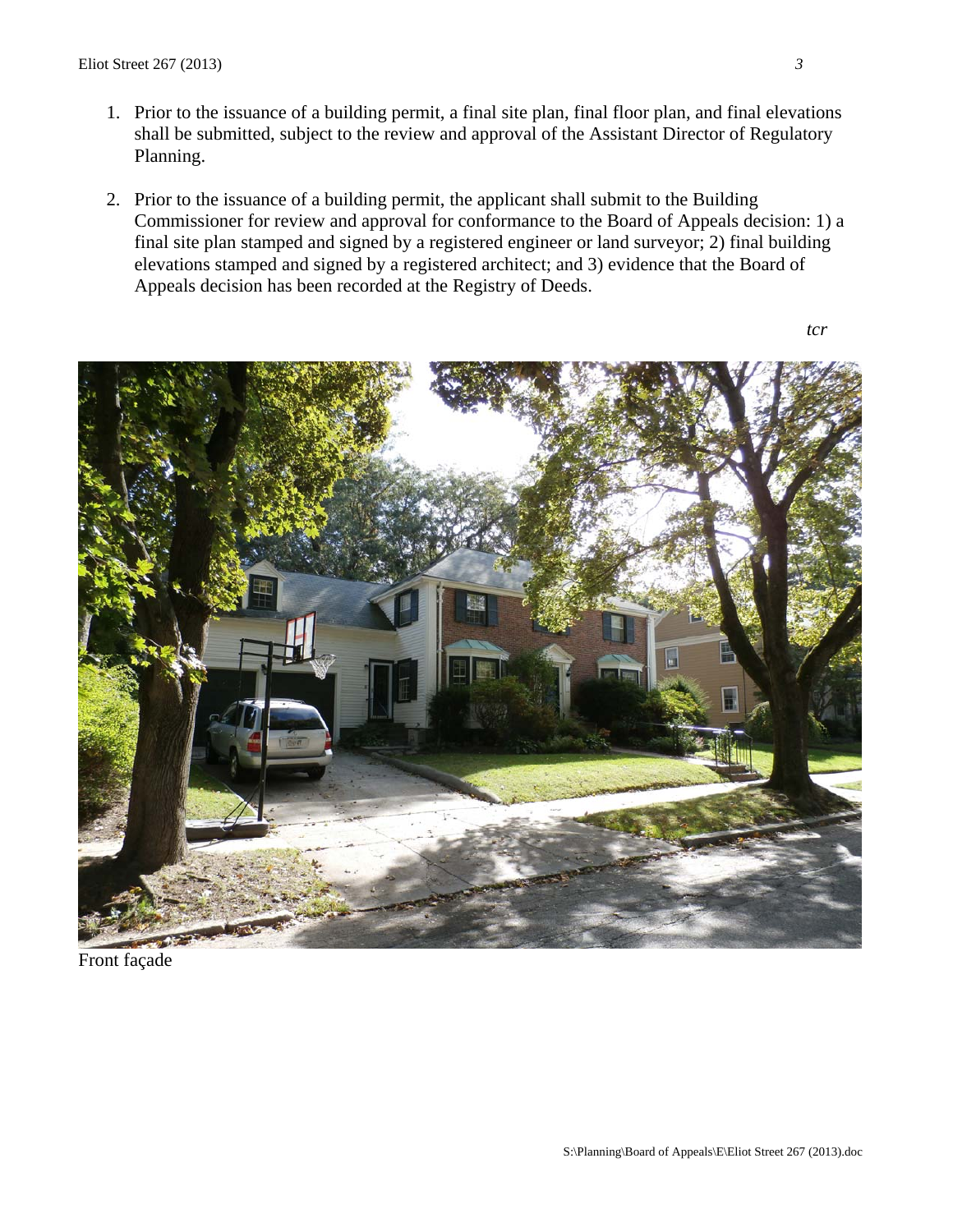- 1. Prior to the issuance of a building permit, a final site plan, final floor plan, and final elevations shall be submitted, subject to the review and approval of the Assistant Director of Regulatory Planning.
- 2. Prior to the issuance of a building permit, the applicant shall submit to the Building Commissioner for review and approval for conformance to the Board of Appeals decision: 1) a final site plan stamped and signed by a registered engineer or land surveyor; 2) final building elevations stamped and signed by a registered architect; and 3) evidence that the Board of Appeals decision has been recorded at the Registry of Deeds.



Front façade

*3*

*tcr*